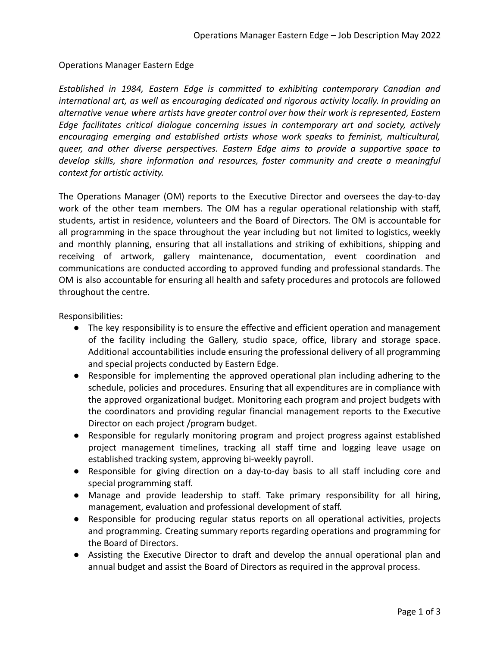Operations Manager Eastern Edge

*Established in 1984, Eastern Edge is committed to exhibiting contemporary Canadian and international art, as well as encouraging dedicated and rigorous activity locally. In providing an alternative venue where artists have greater control over how their work is represented, Eastern Edge facilitates critical dialogue concerning issues in contemporary art and society, actively encouraging emerging and established artists whose work speaks to feminist, multicultural, queer, and other diverse perspectives. Eastern Edge aims to provide a supportive space to develop skills, share information and resources, foster community and create a meaningful context for artistic activity.*

The Operations Manager (OM) reports to the Executive Director and oversees the day-to-day work of the other team members. The OM has a regular operational relationship with staff, students, artist in residence, volunteers and the Board of Directors. The OM is accountable for all programming in the space throughout the year including but not limited to logistics, weekly and monthly planning, ensuring that all installations and striking of exhibitions, shipping and receiving of artwork, gallery maintenance, documentation, event coordination and communications are conducted according to approved funding and professional standards. The OM is also accountable for ensuring all health and safety procedures and protocols are followed throughout the centre.

Responsibilities:

- The key responsibility is to ensure the effective and efficient operation and management of the facility including the Gallery, studio space, office, library and storage space. Additional accountabilities include ensuring the professional delivery of all programming and special projects conducted by Eastern Edge.
- Responsible for implementing the approved operational plan including adhering to the schedule, policies and procedures. Ensuring that all expenditures are in compliance with the approved organizational budget. Monitoring each program and project budgets with the coordinators and providing regular financial management reports to the Executive Director on each project /program budget.
- Responsible for regularly monitoring program and project progress against established project management timelines, tracking all staff time and logging leave usage on established tracking system, approving bi-weekly payroll.
- Responsible for giving direction on a day-to-day basis to all staff including core and special programming staff.
- Manage and provide leadership to staff. Take primary responsibility for all hiring, management, evaluation and professional development of staff.
- Responsible for producing regular status reports on all operational activities, projects and programming. Creating summary reports regarding operations and programming for the Board of Directors.
- Assisting the Executive Director to draft and develop the annual operational plan and annual budget and assist the Board of Directors as required in the approval process.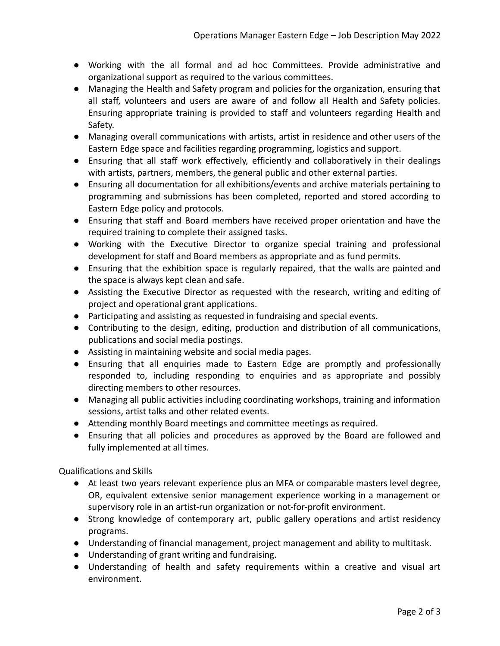- Working with the all formal and ad hoc Committees. Provide administrative and organizational support as required to the various committees.
- Managing the Health and Safety program and policies for the organization, ensuring that all staff, volunteers and users are aware of and follow all Health and Safety policies. Ensuring appropriate training is provided to staff and volunteers regarding Health and Safety.
- Managing overall communications with artists, artist in residence and other users of the Eastern Edge space and facilities regarding programming, logistics and support.
- Ensuring that all staff work effectively, efficiently and collaboratively in their dealings with artists, partners, members, the general public and other external parties.
- Ensuring all documentation for all exhibitions/events and archive materials pertaining to programming and submissions has been completed, reported and stored according to Eastern Edge policy and protocols.
- Ensuring that staff and Board members have received proper orientation and have the required training to complete their assigned tasks.
- Working with the Executive Director to organize special training and professional development for staff and Board members as appropriate and as fund permits.
- Ensuring that the exhibition space is regularly repaired, that the walls are painted and the space is always kept clean and safe.
- Assisting the Executive Director as requested with the research, writing and editing of project and operational grant applications.
- Participating and assisting as requested in fundraising and special events.
- Contributing to the design, editing, production and distribution of all communications, publications and social media postings.
- Assisting in maintaining website and social media pages.
- Ensuring that all enquiries made to Eastern Edge are promptly and professionally responded to, including responding to enquiries and as appropriate and possibly directing members to other resources.
- Managing all public activities including coordinating workshops, training and information sessions, artist talks and other related events.
- Attending monthly Board meetings and committee meetings as required.
- Ensuring that all policies and procedures as approved by the Board are followed and fully implemented at all times.

Qualifications and Skills

- At least two years relevant experience plus an MFA or comparable masters level degree, OR, equivalent extensive senior management experience working in a management or supervisory role in an artist-run organization or not-for-profit environment.
- Strong knowledge of contemporary art, public gallery operations and artist residency programs.
- Understanding of financial management, project management and ability to multitask.
- Understanding of grant writing and fundraising.
- Understanding of health and safety requirements within a creative and visual art environment.